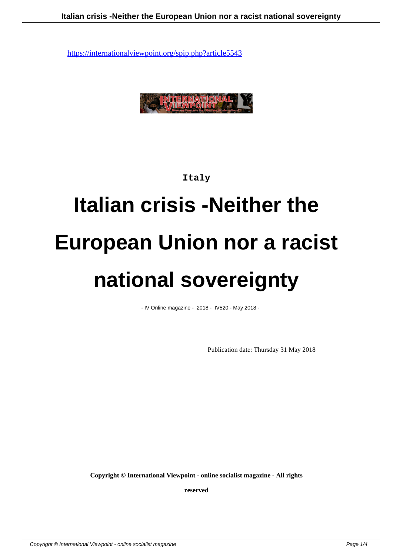

#### **Italy**

# **Italian crisis -Neither the European Union nor a racist national sovereignty**

- IV Online magazine - 2018 - IV520 - May 2018 -

Publication date: Thursday 31 May 2018

**Copyright © International Viewpoint - online socialist magazine - All rights**

**reserved**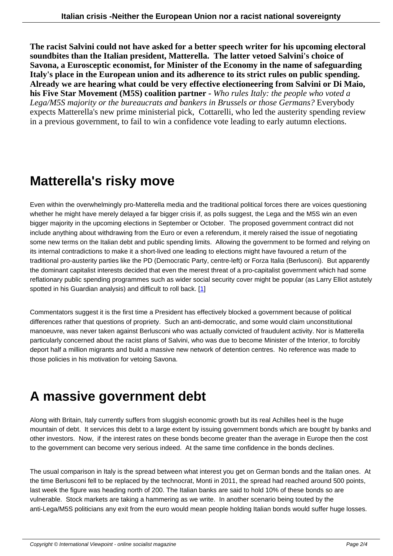**The racist Salvini could not have asked for a better speech writer for his upcoming electoral soundbites than the Italian president, Matterella. The latter vetoed Salvini's choice of Savona, a Eurosceptic economist, for Minister of the Economy in the name of safeguarding Italy's place in the European union and its adherence to its strict rules on public spending. Already we are hearing what could be very effective electioneering from Salvini or Di Maio, his Five Star Movement (M5S) coalition partner -** *Who rules Italy: the people who voted a Lega/M5S majority or the bureaucrats and bankers in Brussels or those Germans?* Everybody expects Matterella's new prime ministerial pick, Cottarelli, who led the austerity spending review in a previous government, to fail to win a confidence vote leading to early autumn elections.

### **Matterella's risky move**

Even within the overwhelmingly pro-Matterella media and the traditional political forces there are voices questioning whether he might have merely delayed a far bigger crisis if, as polls suggest, the Lega and the M5S win an even bigger majority in the upcoming elections in September or October. The proposed government contract did not include anything about withdrawing from the Euro or even a referendum, it merely raised the issue of negotiating some new terms on the Italian debt and public spending limits. Allowing the government to be formed and relying on its internal contradictions to make it a short-lived one leading to elections might have favoured a return of the traditional pro-austerity parties like the PD (Democratic Party, centre-left) or Forza Italia (Berlusconi). But apparently the dominant capitalist interests decided that even the merest threat of a pro-capitalist government which had some reflationary public spending programmes such as wider social security cover might be popular (as Larry Elliot astutely spotted in his Guardian analysis) and difficult to roll back. [1]

Commentators suggest it is the first time a President has effectively blocked a government because of political differences rather that questions of propriety. Such an ant[i-d](#nb1)emocratic, and some would claim unconstitutional manoeuvre, was never taken against Berlusconi who was actually convicted of fraudulent activity. Nor is Matterella particularly concerned about the racist plans of Salvini, who was due to become Minister of the Interior, to forcibly deport half a million migrants and build a massive new network of detention centres. No reference was made to those policies in his motivation for vetoing Savona.

## **A massive government debt**

Along with Britain, Italy currently suffers from sluggish economic growth but its real Achilles heel is the huge mountain of debt. It services this debt to a large extent by issuing government bonds which are bought by banks and other investors. Now, if the interest rates on these bonds become greater than the average in Europe then the cost to the government can become very serious indeed. At the same time confidence in the bonds declines.

The usual comparison in Italy is the spread between what interest you get on German bonds and the Italian ones. At the time Berlusconi fell to be replaced by the technocrat, Monti in 2011, the spread had reached around 500 points, last week the figure was heading north of 200. The Italian banks are said to hold 10% of these bonds so are vulnerable. Stock markets are taking a hammering as we write. In another scenario being touted by the anti-Lega/M5S politicians any exit from the euro would mean people holding Italian bonds would suffer huge losses.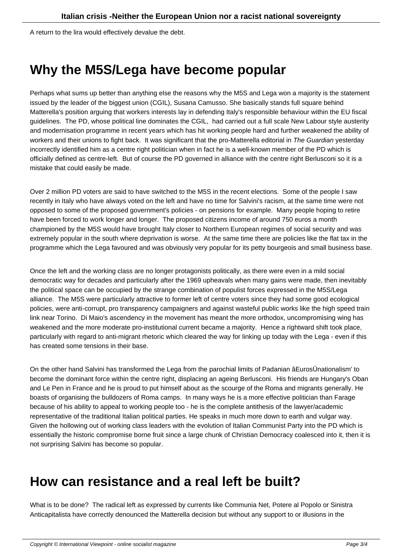## **Why the M5S/Lega have become popular**

Perhaps what sums up better than anything else the reasons why the M5S and Lega won a majority is the statement issued by the leader of the biggest union (CGIL), Susana Camusso. She basically stands full square behind Matterella's position arguing that workers interests lay in defending Italy's responsible behaviour within the EU fiscal guidelines. The PD, whose political line dominates the CGIL, had carried out a full scale New Labour style austerity and modernisation programme in recent years which has hit working people hard and further weakened the ability of workers and their unions to fight back. It was significant that the pro-Matterella editorial in The Guardian yesterday incorrectly identified him as a centre right politician when in fact he is a well-known member of the PD which is officially defined as centre-left. But of course the PD governed in alliance with the centre right Berlusconi so it is a mistake that could easily be made.

Over 2 million PD voters are said to have switched to the M5S in the recent elections. Some of the people I saw recently in Italy who have always voted on the left and have no time for Salvini's racism, at the same time were not opposed to some of the proposed government's policies - on pensions for example. Many people hoping to retire have been forced to work longer and longer. The proposed citizens income of around 750 euros a month championed by the M5S would have brought Italy closer to Northern European regimes of social security and was extremely popular in the south where deprivation is worse. At the same time there are policies like the flat tax in the programme which the Lega favoured and was obviously very popular for its petty bourgeois and small business base.

Once the left and the working class are no longer protagonists politically, as there were even in a mild social democratic way for decades and particularly after the 1969 upheavals when many gains were made, then inevitably the political space can be occupied by the strange combination of populist forces expressed in the M5S/Lega alliance. The M5S were particularly attractive to former left of centre voters since they had some good ecological policies, were anti-corrupt, pro transparency campaigners and against wasteful public works like the high speed train link near Torino. Di Maio's ascendency in the movement has meant the more orthodox, uncompromising wing has weakened and the more moderate pro-institutional current became a majority. Hence a rightward shift took place, particularly with regard to anti-migrant rhetoric which cleared the way for linking up today with the Lega - even if this has created some tensions in their base.

On the other hand Salvini has transformed the Lega from the parochial limits of Padanian âEurosÜnationalism' to become the dominant force within the centre right, displacing an ageing Berlusconi. His friends are Hungary's Oban and Le Pen in France and he is proud to put himself about as the scourge of the Roma and migrants generally. He boasts of organising the bulldozers of Roma camps. In many ways he is a more effective politician than Farage because of his ability to appeal to working people too - he is the complete antithesis of the lawyer/academic representative of the traditional Italian political parties. He speaks in much more down to earth and vulgar way. Given the hollowing out of working class leaders with the evolution of Italian Communist Party into the PD which is essentially the historic compromise borne fruit since a large chunk of Christian Democracy coalesced into it, then it is not surprising Salvini has become so popular.

### **How can resistance and a real left be built?**

What is to be done? The radical left as expressed by currents like Communia Net, Potere al Popolo or Sinistra Anticapitalista have correctly denounced the Matterella decision but without any support to or illusions in the